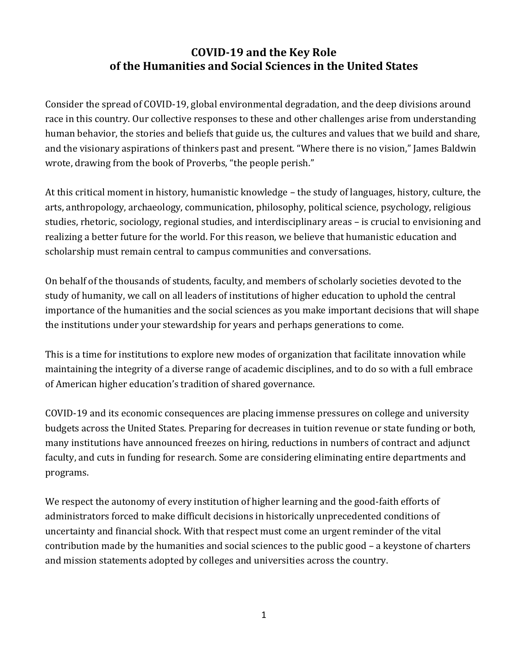## **COVID-19 and the Key Role of the Humanities and Social Sciences in the United States**

Consider the spread of COVID-19, global environmental degradation, and the deep divisions around race in this country. Our collective responses to these and other challenges arise from understanding human behavior, the stories and beliefs that guide us, the cultures and values that we build and share, and the visionary aspirations of thinkers past and present. "Where there is no vision," James Baldwin wrote, drawing from the book of Proverbs, "the people perish."

At this critical moment in history, humanistic knowledge – the study of languages, history, culture, the arts, anthropology, archaeology, communication, philosophy, political science, psychology, religious studies, rhetoric, sociology, regional studies, and interdisciplinary areas – is crucial to envisioning and realizing a better future for the world. For this reason, we believe that humanistic education and scholarship must remain central to campus communities and conversations.

On behalf of the thousands of students, faculty, and members of scholarly societies devoted to the study of humanity, we call on all leaders of institutions of higher education to uphold the central importance of the humanities and the social sciences as you make important decisions that will shape the institutions under your stewardship for years and perhaps generations to come.

This is a time for institutions to explore new modes of organization that facilitate innovation while maintaining the integrity of a diverse range of academic disciplines, and to do so with a full embrace of American higher education's tradition of shared governance.

COVID-19 and its economic consequences are placing immense pressures on college and university budgets across the United States. Preparing for decreases in tuition revenue or state funding or both, many institutions have announced freezes on hiring, reductions in numbers of contract and adjunct faculty, and cuts in funding for research. Some are considering eliminating entire departments and programs.

We respect the autonomy of every institution of higher learning and the good-faith efforts of administrators forced to make difficult decisions in historically unprecedented conditions of uncertainty and financial shock. With that respect must come an urgent reminder of the vital contribution made by the humanities and social sciences to the public good – a keystone of charters and mission statements adopted by colleges and universities across the country.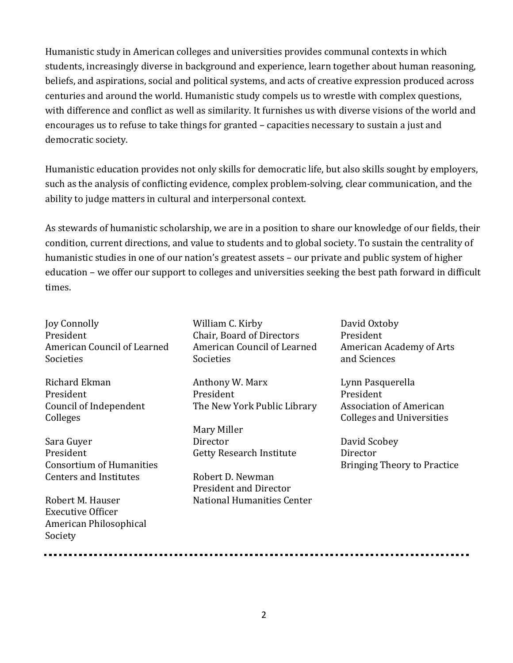Humanistic study in American colleges and universities provides communal contexts in which students, increasingly diverse in background and experience, learn together about human reasoning, beliefs, and aspirations, social and political systems, and acts of creative expression produced across centuries and around the world. Humanistic study compels us to wrestle with complex questions, with difference and conflict as well as similarity. It furnishes us with diverse visions of the world and encourages us to refuse to take things for granted – capacities necessary to sustain a just and democratic society.

Humanistic education provides not only skills for democratic life, but also skills sought by employers, such as the analysis of conflicting evidence, complex problem-solving, clear communication, and the ability to judge matters in cultural and interpersonal context.

As stewards of humanistic scholarship, we are in a position to share our knowledge of our fields, their condition, current directions, and value to students and to global society. To sustain the centrality of humanistic studies in one of our nation's greatest assets – our private and public system of higher education – we offer our support to colleges and universities seeking the best path forward in difficult times.

Joy Connolly President American Council of Learned **Societies** 

Richard Ekman President Council of Independent Colleges

Sara Guyer President Consortium of Humanities Centers and Institutes

Robert M. Hauser Executive Officer American Philosophical Society

William C. Kirby Chair, Board of Directors American Council of Learned **Societies** 

Anthony W. Marx President The New York Public Library

Mary Miller **Director** Getty Research Institute

Robert D. Newman President and Director National Humanities Center David Oxtoby President American Academy of Arts and Sciences

Lynn Pasquerella President Association of American Colleges and Universities

David Scobey Director Bringing Theory to Practice